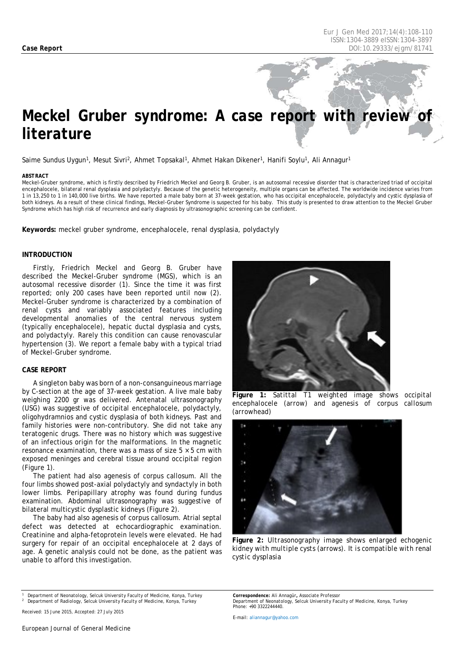# *Meckel Gruber syndrome: A case report with review literature*

Saime Sundus Uygun<sup>1</sup>, Mesut Sivri<sup>2</sup>, Ahmet Topsakal<sup>1</sup>, Ahmet Hakan Dikener<sup>1</sup>, Hanifi Soylu<sup>1</sup>, Ali Annagur<sup>1</sup>

#### <span id="page-0-0"></span>*ABSTRACT*

Meckel-Gruber syndrome, which is firstly described by Friedrich Meckel and Georg B. Gruber, is an autosomal recessive disorder that is characterized triad of occipital encephalocele, bilateral renal dysplasia and polydactyly. Because of the genetic heterogeneity, multiple organs can be affected. The worldwide incidence varies from 1 in 13,250 to 1 in 140,000 live births. We have reported a male baby born at 37-week gestation, who has occipital encephalocele, polydactyly and cystic dysplasia of both kidneys. As a result of these clinical findings, Meckel-Gruber Syndrome is suspected for his baby. This study is presented to draw attention to the Meckel Gruber Syndrome which has high risk of recurrence and early diagnosis by ultrasonographic screening can be confident.

**Keywords:** meckel gruber syndrome, encephalocele, renal dysplasia, polydactyly

#### **INTRODUCTION**

Firstly, Friedrich Meckel and Georg B. Gruber have described the Meckel-Gruber syndrome (MGS), which is an autosomal recessive disorder (1). Since the time it was first reported; only 200 cases have been reported until now (2). Meckel-Gruber syndrome is characterized by a combination of renal cysts and variably associated features including developmental anomalies of the central nervous system (typically encephalocele), hepatic ductal dysplasia and cysts, and polydactyly. Rarely this condition can cause renovascular hypertension (3). We report a female baby with a typical triad of Meckel-Gruber syndrome.

#### **CASE REPORT**

A singleton baby was born of a non-consanguineous marriage by C-section at the age of 37-week gestation. A live male baby weighing 2200 gr was delivered. Antenatal ultrasonography (USG) was suggestive of occipital encephalocele, polydactyly, oligohydramnios and cystic dysplasia of both kidneys. Past and family histories were non-contributory. She did not take any teratogenic drugs. There was no history which was suggestive of an infectious origin for the malformations. In the magnetic resonance examination, there was a mass of size  $5 \times 5$  cm with exposed meninges and cerebral tissue around occipital region (Figure 1).

The patient had also agenesis of corpus callosum. All the four limbs showed post-axial polydactyly and syndactyly in both lower limbs. Peripapillary atrophy was found during fundus examination. Abdominal ultrasonography was suggestive of bilateral multicystic dysplastic kidneys (Figure 2).

The baby had also agenesis of corpus callosum. Atrial septal defect was detected at echocardiographic examination. Creatinine and [alpha-fetoprotein l](http://www.google.com.tr/url?sa=t&rct=j&q=&esrc=s&source=web&cd=4&cad=rja&uact=8&ved=0CC8QFjAD&url=http%3A%2F%2Fen.wikipedia.org%2Fwiki%2FAlpha-fetoprotein&ei=lwMrVOWsKOr-ygPw44HYDA&usg=AFQjCNGgrafSH6z0F6mHt2QIkeNbTkHxSA&bvm=bv.76477589,d.bGQ)evels were elevated. He had surgery for repair of an occipital encephalocele at 2 days of age. A genetic analysis could not be done, as the patient was unable to afford this investigation.



**Figure 1:** *Satittal T1 weighted image shows occipital encephalocele (arrow) and agenesis of corpus callosum (arrowhead)*



**Figure 2:** *Ultrasonography image shows enlarged echogenic kidney with multiple cysts (arrows). It is compatible with renal cystic dysplasia*

*<sup>1</sup> Department of Neonatology, Selcuk University Faculty of Medicine, Konya, Turkey <sup>2</sup> Department of Radiology, Selcuk University Faculty of Medicine, Konya, Turkey*

*Received: 15 June 2015, Accepted: 27 July 2015*

*E-mail[: aliannagur@yahoo.com](mailto:aliannagur@yahoo.com)*

*Correspondence: Ali Annagür, Associate Professor Department of Neonatology, Selcuk University Faculty of Medicine, Konya, Turkey Phone: +90 3322244440.*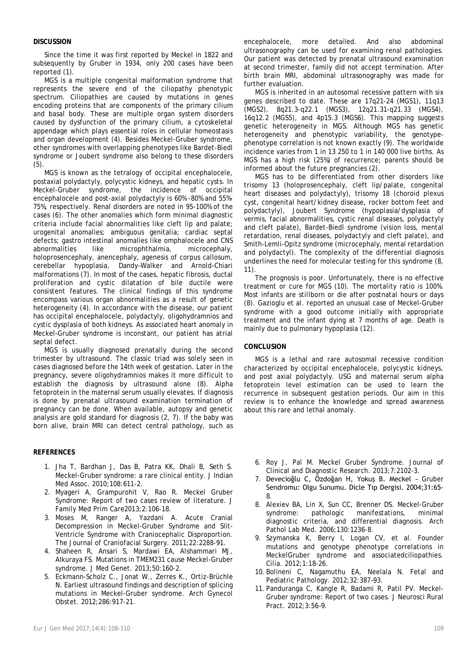## **DISCUSSION**

Since the time it was first reported by Meckel in 1822 and subsequently by Gruber in 1934, only 200 cases have been reported (1).

MGS is a multiple congenital malformation syndrome that represents the severe end of the ciliopathy phenotypic spectrum. Ciliopathies are caused by mutations in genes encoding proteins that are components of the primary cilium and basal body. These are multiple organ system disorders caused by dysfunction of the primary cilium, a cytoskeletal appendage which plays essential roles in cellular homeostasis and organ development (4). Besides Meckel-Gruber syndrome, other syndromes with overlapping phenotypes like Bardet-Biedl syndrome or Joubert syndrome also belong to these disorders (5).

MGS is known as the tetralogy of occipital encephalocele, postaxial polydactyly, polycystic kidneys, and hepatic cysts. In Meckel-Gruber syndrome, the incidence of occipital encephalocele and post-axial polydactyly is 60% -80% and 55%- 75%, respectively. Renal disorders are noted in 95-100% of the cases (6). The other anomalies which form minimal diagnostic criteria include facial abnormalities like cleft lip and palate; urogenital anomalies; ambiguous genitalia; cardiac septal defects; gastro intestinal anomalies like omphalocele and CNS<br>abnormalities like microphthalmia, microcephaly, abnormalities like microphthalmia, holoprosencephaly, anencephaly, agenesis of corpus callosum, cerebellar hypoplasia, Dandy–Walker and Arnold–Chiari malformations (7). In most of the cases, hepatic fibrosis, ductal proliferation and cystic dilatation of bile ductile were consistent features. The clinical findings of this syndrome encompass various organ abnormalities as a result of genetic heterogeneity (4). In accordance with the disease, our patient has occipital encephalocele, polydactyly, oligohydramnios and cystic dysplasia of both kidneys. As associated heart anomaly in Meckel–Gruber syndrome is inconstant, our patient has atrial septal defect.

MGS is usually diagnosed prenatally during the second trimester by ultrasound. The classic triad was solely seen in cases diagnosed before the 14th week of gestation. Later in the pregnancy, severe oligohydramnios makes it more difficult to establish the diagnosis by ultrasound alone (8). Alpha fetoprotein in the maternal serum usually elevates. If diagnosis is done by prenatal ultrasound examination termination of pregnancy can be done. When available, autopsy and genetic analysis are gold standard for diagnosis (2, 7). If the baby was born alive, brain MRI can detect central pathology, such as

## **REFERENCES**

- 1. Jha T, Bardhan J, Das B, Patra KK, Dhali B, Seth S. Meckel-Gruber syndrome: a rare clinical entity. J Indian Med Assoc. 2010;108:611-2.
- 2. Myageri A, Grampurohit V, Rao R. Meckel Gruber Syndrome: Report of two cases review of literature. J Family Med Prim Care2013;2:106-18.
- 3. Moses M, Ranger A, Yazdani A. Acute Cranial Decompression in Meckel-Gruber Syndrome and Slit-Ventricle Syndrome with Craniocephalic Disproportion. The Journal of Craniofacial Surgery. 2011;22:2288-91.
- 4. Shaheen R, Ansari S, Mardawi EA, Alshammari MJ, Alkuraya FS. Mutations in TMEM231 cause Meckel-Gruber syndrome. J Med Genet. 2013;50:160-2.
- 5. Eckmann-Scholz C., Jonat W., Zerres K., Ortiz-Brüchle N. Earliest ultrasound findings and description of splicing mutations in Meckel-Gruber syndrome. Arch Gynecol Obstet. 2012;286:917-21.

encephalocele, more detailed. And also abdominal ultrasonography can be used for examining renal pathologies. Our patient was detected by prenatal ultrasound examination at second trimester, family did not accept termination. After birth brain MRI, abdominal ultrasonography was made for further evaluation.

MGS is inherited in an autosomal recessive pattern with six genes described to date. These are 17q21-24 (MGS1), 11q13 (MGS2), 8q21.3-q22.1 (MGS3), 12q21.31-q21.33 (MGS4), 16q12.2 (MGS5), and 4p15.3 (MGS6). This mapping suggests genetic heterogeneity in MGS. Although MGS has genetic heterogeneity and phenotypic variability, the genotypephenotype correlation is not known exactly (9). The worldwide incidence varies from 1 in 13 250 to 1 in 140 000 live births. As MGS has a high risk (25%) of recurrence; parents should be informed about the future pregnancies (2).

MGS has to be differentiated from other disorders like trisomy 13 (holoprosencephaly, cleft lip/palate, congenital heart diseases and polydactyly), trisomy 18 (choroid plexus cyst, congenital heart/kidney disease, rocker bottom feet and polydactyly), Joubert Syndrome (hypoplasia/dysplasia of vermis, facial abnormalities, cystic renal diseases, polydactyly and cleft palate), Bardet-Biedl syndrome (vision loss, mental retardation, renal diseases, polydactyly and cleft palate), and Smith-Lemli-Opitz syndrome (microcephaly, mental retardation and polydactyl). The complexity of the differential diagnosis underlines the need for molecular testing for this syndrome (8, 11).

The prognosis is poor. Unfortunately, there is no effective treatment or cure for MGS (10). The mortality ratio is 100%. Most infants are stillborn or die after postnatal hours or days (8). Gazioglu et al. reported an unusual case of Meckel-Gruber syndrome with a good outcome initially with appropriate treatment and the infant dying at 7 months of age. Death is mainly due to pulmonary hypoplasia (12).

## **CONCLUSION**

MGS is a lethal and rare autosomal recessive condition characterized by occipital encephalocele, polycystic kidneys, and post axial polydactyly. USG and maternal serum alpha fetoprotein level estimation can be used to learn the recurrence in subsequent gestation periods. Our aim in this review is to enhance the knowledge and spread awareness about this rare and lethal anomaly.

- 6. Roy J, Pal M. Meckel Gruber Syndrome. Journal of Clinical and Diagnostic Research. 2013;7:2102-3.
- 7. Devecioğlu C, Özdoğan H, Yokuş B. Meckel Gruber Sendromu: Olgu Sunumu. Dicle Tıp Dergisi. 2004;31:65- 8.
- 8. Alexiev BA, Lin X, Sun CC, Brenner DS. Meckel-Gruber syndrome: pathologic manifestations, minimal diagnostic criteria, and differential diagnosis. Arch Pathol Lab Med. 2006;130:1236-8.
- 9. Szymanska K, Berry I, Logan CV, et al. Founder mutations and genotype phenotype correlations in MeckelGruber syndrome and associatedciliopathies. Cilia. 2012;1:18-26.
- 10. Bolineni C, Nagamuthu EA, Neelala N. Fetal and Pediatric Pathology. 2012;32:387–93.
- 11. Panduranga C, Kangle R, Badami R, Patil PV. Meckel-Gruber syndrome: Report of two cases. J Neurosci Rural Pract. 2012;3:56–9.